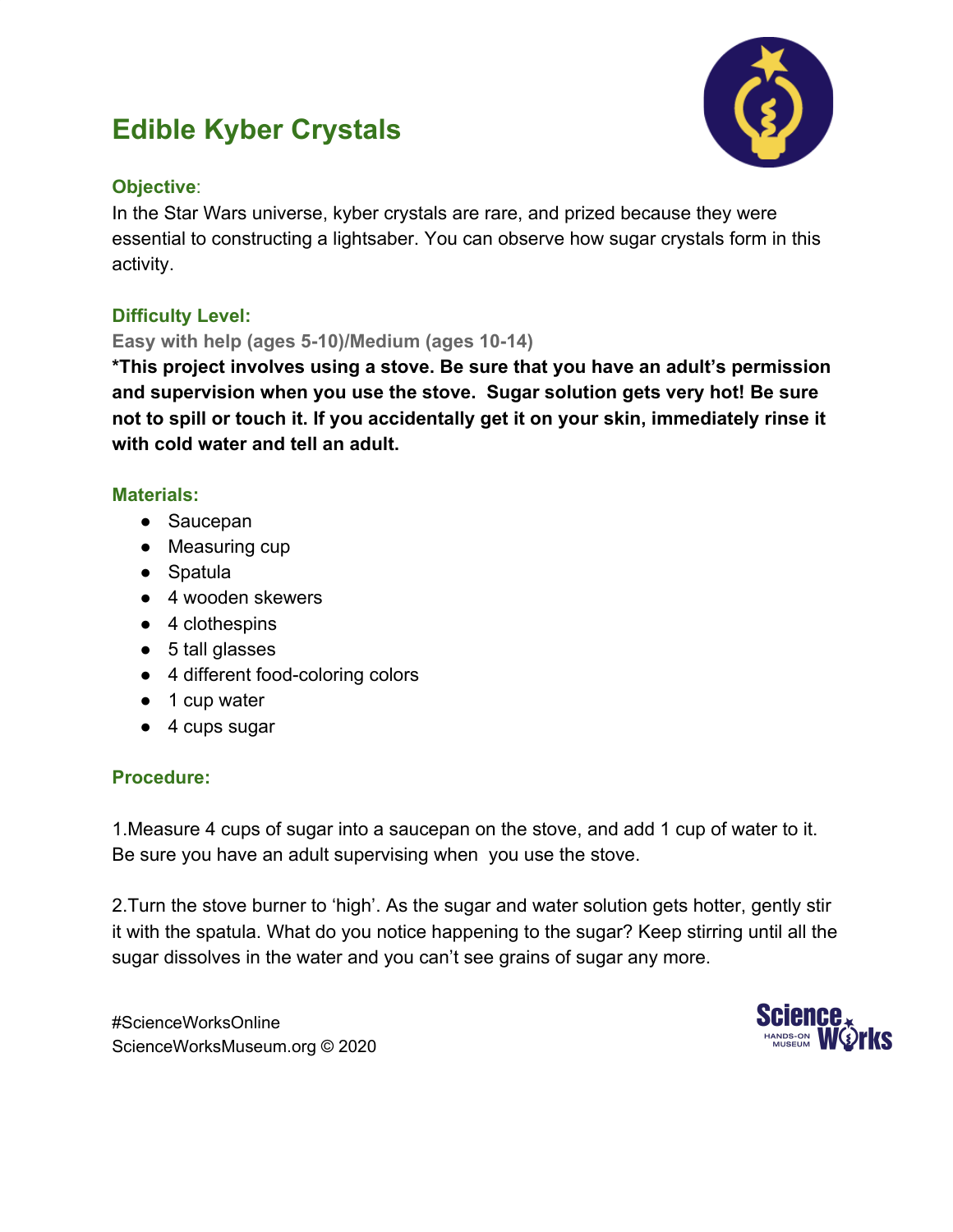# **Edible Kyber Crystals**



## **Objective**:

In the Star Wars universe, kyber crystals are rare, and prized because they were essential to constructing a lightsaber. You can observe how sugar crystals form in this activity.

# **Difficulty Level:**

## **Easy with help (ages 5-10)/Medium (ages 10-14)**

**\*This project involves using a stove. Be sure that you have an adult's permission and supervision when you use the stove. Sugar solution gets very hot! Be sure not to spill or touch it. If you accidentally get it on your skin, immediately rinse it with cold water and tell an adult.**

## **Materials:**

- Saucepan
- Measuring cup
- Spatula
- 4 wooden skewers
- 4 clothespins
- 5 tall glasses
- 4 different food-coloring colors
- 1 cup water
- 4 cups sugar

## **Procedure:**

1.Measure 4 cups of sugar into a saucepan on the stove, and add 1 cup of water to it. Be sure you have an adult supervising when you use the stove.

2.Turn the stove burner to 'high'. As the sugar and water solution gets hotter, gently stir it with the spatula. What do you notice happening to the sugar? Keep stirring until all the sugar dissolves in the water and you can't see grains of sugar any more.

#ScienceWorksOnline ScienceWorksMuseum.org © 2020

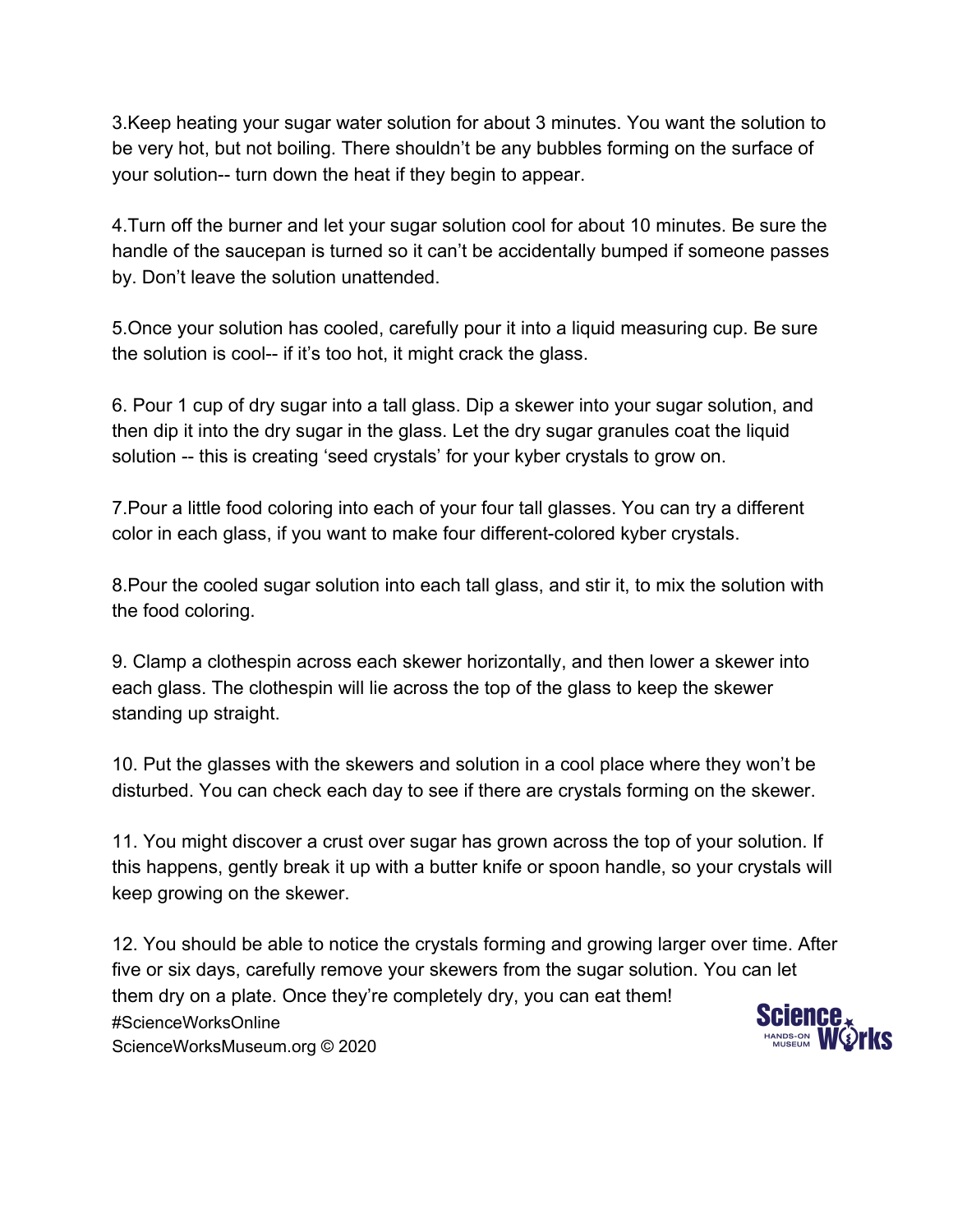3.Keep heating your sugar water solution for about 3 minutes. You want the solution to be very hot, but not boiling. There shouldn't be any bubbles forming on the surface of your solution-- turn down the heat if they begin to appear.

4.Turn off the burner and let your sugar solution cool for about 10 minutes. Be sure the handle of the saucepan is turned so it can't be accidentally bumped if someone passes by. Don't leave the solution unattended.

5.Once your solution has cooled, carefully pour it into a liquid measuring cup. Be sure the solution is cool-- if it's too hot, it might crack the glass.

6. Pour 1 cup of dry sugar into a tall glass. Dip a skewer into your sugar solution, and then dip it into the dry sugar in the glass. Let the dry sugar granules coat the liquid solution -- this is creating 'seed crystals' for your kyber crystals to grow on.

7.Pour a little food coloring into each of your four tall glasses. You can try a different color in each glass, if you want to make four different-colored kyber crystals.

8.Pour the cooled sugar solution into each tall glass, and stir it, to mix the solution with the food coloring.

9. Clamp a clothespin across each skewer horizontally, and then lower a skewer into each glass. The clothespin will lie across the top of the glass to keep the skewer standing up straight.

10. Put the glasses with the skewers and solution in a cool place where they won't be disturbed. You can check each day to see if there are crystals forming on the skewer.

11. You might discover a crust over sugar has grown across the top of your solution. If this happens, gently break it up with a butter knife or spoon handle, so your crystals will keep growing on the skewer.

12. You should be able to notice the crystals forming and growing larger over time. After five or six days, carefully remove your skewers from the sugar solution. You can let them dry on a plate. Once they're completely dry, you can eat them! Science #ScienceWorksOnline ScienceWorksMuseum.org © 2020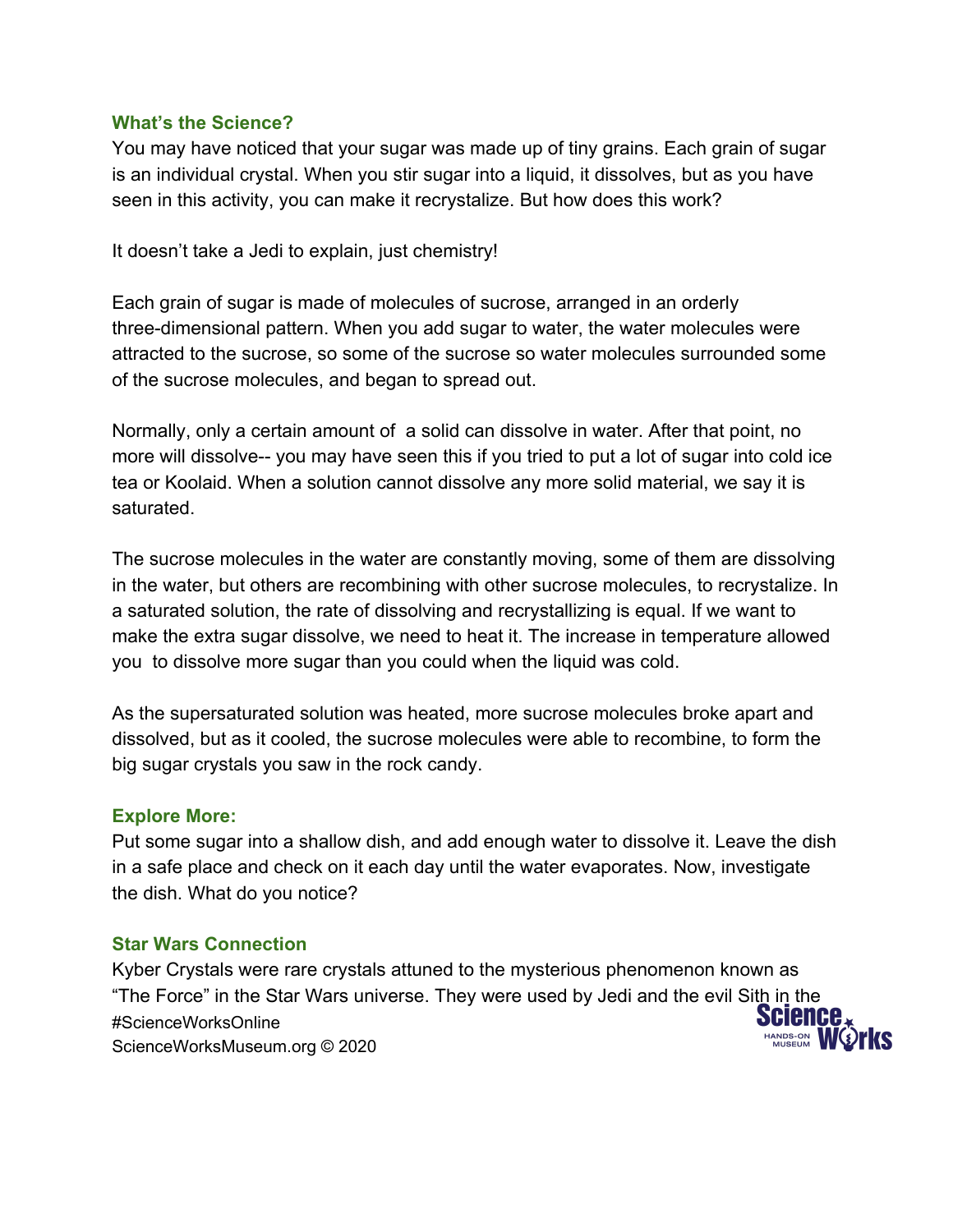### **What's the Science?**

You may have noticed that your sugar was made up of tiny grains. Each grain of sugar is an individual crystal. When you stir sugar into a liquid, it dissolves, but as you have seen in this activity, you can make it recrystalize. But how does this work?

It doesn't take a Jedi to explain, just chemistry!

Each grain of sugar is made of molecules of sucrose, arranged in an orderly three-dimensional pattern. When you add sugar to water, the water molecules were attracted to the sucrose, so some of the sucrose so water molecules surrounded some of the sucrose molecules, and began to spread out.

Normally, only a certain amount of a solid can dissolve in water. After that point, no more will dissolve-- you may have seen this if you tried to put a lot of sugar into cold ice tea or Koolaid. When a solution cannot dissolve any more solid material, we say it is saturated.

The sucrose molecules in the water are constantly moving, some of them are dissolving in the water, but others are recombining with other sucrose molecules, to recrystalize. In a saturated solution, the rate of dissolving and recrystallizing is equal. If we want to make the extra sugar dissolve, we need to heat it. The increase in temperature allowed you to dissolve more sugar than you could when the liquid was cold.

As the supersaturated solution was heated, more sucrose molecules broke apart and dissolved, but as it cooled, the sucrose molecules were able to recombine, to form the big sugar crystals you saw in the rock candy.

### **Explore More:**

Put some sugar into a shallow dish, and add enough water to dissolve it. Leave the dish in a safe place and check on it each day until the water evaporates. Now, investigate the dish. What do you notice?

### **Star Wars Connection**

Kyber Crystals were rare crystals attuned to the mysterious phenomenon known as "The Force" in the Star Wars universe. They were used by Jedi and the evil Sith in the **Science** #ScienceWorksOnline HANDS-ON **WG)FKS** ScienceWorksMuseum.org © 2020